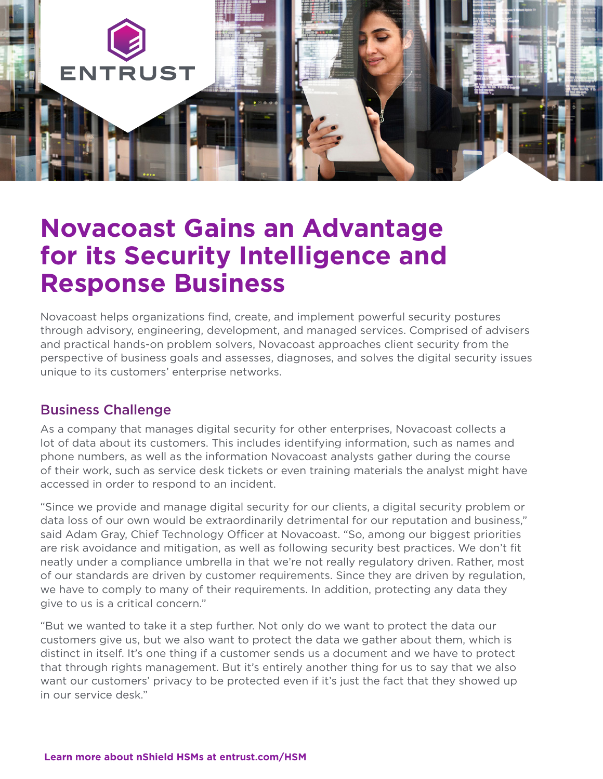

# **Novacoast Gains an Advantage for its Security Intelligence and Response Business**

Novacoast helps organizations find, create, and implement powerful security postures through advisory, engineering, development, and managed services. Comprised of advisers and practical hands-on problem solvers, Novacoast approaches client security from the perspective of business goals and assesses, diagnoses, and solves the digital security issues unique to its customers' enterprise networks.

## Business Challenge

As a company that manages digital security for other enterprises, Novacoast collects a lot of data about its customers. This includes identifying information, such as names and phone numbers, as well as the information Novacoast analysts gather during the course of their work, such as service desk tickets or even training materials the analyst might have accessed in order to respond to an incident.

"Since we provide and manage digital security for our clients, a digital security problem or data loss of our own would be extraordinarily detrimental for our reputation and business," said Adam Gray, Chief Technology Officer at Novacoast. "So, among our biggest priorities are risk avoidance and mitigation, as well as following security best practices. We don't fit neatly under a compliance umbrella in that we're not really regulatory driven. Rather, most of our standards are driven by customer requirements. Since they are driven by regulation, we have to comply to many of their requirements. In addition, protecting any data they give to us is a critical concern."

"But we wanted to take it a step further. Not only do we want to protect the data our customers give us, but we also want to protect the data we gather about them, which is distinct in itself. It's one thing if a customer sends us a document and we have to protect that through rights management. But it's entirely another thing for us to say that we also want our customers' privacy to be protected even if it's just the fact that they showed up in our service desk."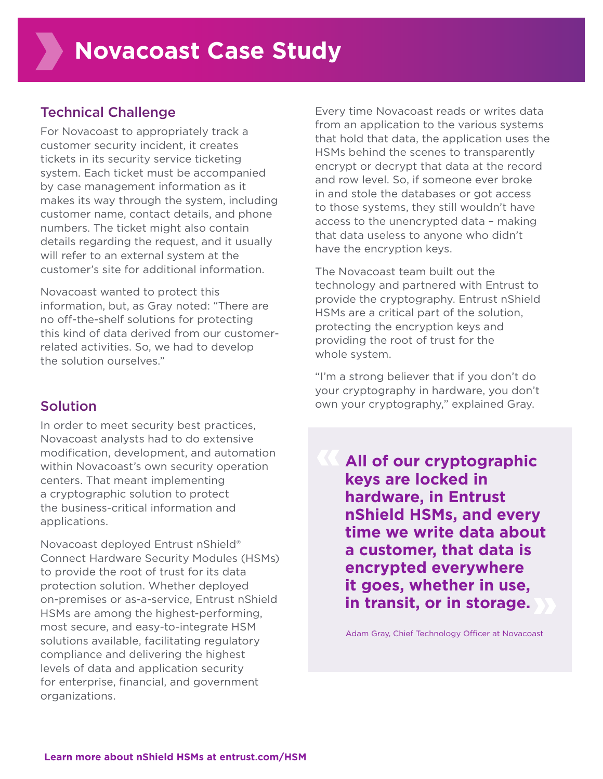## Technical Challenge

For Novacoast to appropriately track a customer security incident, it creates tickets in its security service ticketing system. Each ticket must be accompanied by case management information as it makes its way through the system, including customer name, contact details, and phone numbers. The ticket might also contain details regarding the request, and it usually will refer to an external system at the customer's site for additional information.

Novacoast wanted to protect this information, but, as Gray noted: "There are no off-the-shelf solutions for protecting this kind of data derived from our customerrelated activities. So, we had to develop the solution ourselves."

## Solution

In order to meet security best practices, Novacoast analysts had to do extensive modification, development, and automation within Novacoast's own security operation centers. That meant implementing a cryptographic solution to protect the business-critical information and applications.

Novacoast deployed Entrust nShield® Connect Hardware Security Modules (HSMs) to provide the root of trust for its data protection solution. Whether deployed on-premises or as-a-service, Entrust nShield HSMs are among the highest-performing, most secure, and easy-to-integrate HSM solutions available, facilitating regulatory compliance and delivering the highest levels of data and application security for enterprise, financial, and government organizations.

Every time Novacoast reads or writes data from an application to the various systems that hold that data, the application uses the HSMs behind the scenes to transparently encrypt or decrypt that data at the record and row level. So, if someone ever broke in and stole the databases or got access to those systems, they still wouldn't have access to the unencrypted data – making that data useless to anyone who didn't have the encryption keys.

The Novacoast team built out the technology and partnered with Entrust to provide the cryptography. Entrust nShield HSMs are a critical part of the solution, protecting the encryption keys and providing the root of trust for the whole system.

"I'm a strong believer that if you don't do your cryptography in hardware, you don't own your cryptography," explained Gray.

**All of our cryptographic keys are locked in hardware, in Entrust nShield HSMs, and every time we write data about a customer, that data is encrypted everywhere it goes, whether in use, in transit, or in storage.** 

Adam Gray, Chief Technology Officer at Novacoast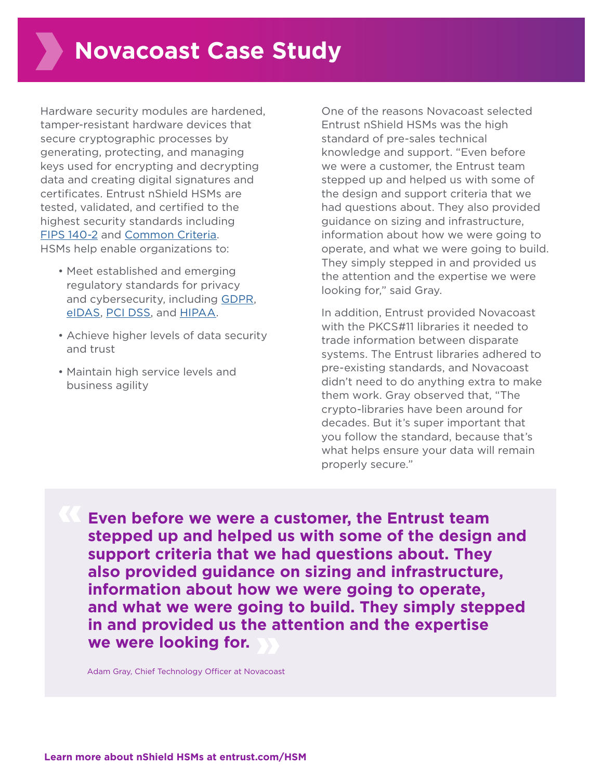Hardware security modules are hardened, tamper-resistant hardware devices that secure cryptographic processes by generating, protecting, and managing keys used for encrypting and decrypting data and creating digital signatures and certificates. Entrust nShield HSMs are tested, validated, and certified to the highest security standards including [FIPS 140-2](https://www.entrust.com/digital-security/hsm/solutions/compliance/certifications/fips-140-2) and [Common Criteria](https://www.entrust.com/digital-security/hsm/solutions/compliance/certifications/common-criteria). HSMs help enable organizations to:

- Meet established and emerging regulatory standards for privacy and cybersecurity, including [GDPR,](https://www.entrust.com/digital-security/hsm/solutions/compliance/global/gdpr) [eIDAS,](https://www.entrust.com/digital-security/hsm/solutions/compliance/emea/eidas) [PCI DSS,](https://www.entrust.com/digital-security/hsm/solutions/compliance/global/pci-dss) and [HIPAA](https://www.entrust.com/digital-security/hsm/solutions/compliance/americas/hipaa).
- Achieve higher levels of data security and trust
- Maintain high service levels and business agility

One of the reasons Novacoast selected Entrust nShield HSMs was the high standard of pre-sales technical knowledge and support. "Even before we were a customer, the Entrust team stepped up and helped us with some of the design and support criteria that we had questions about. They also provided guidance on sizing and infrastructure, information about how we were going to operate, and what we were going to build. They simply stepped in and provided us the attention and the expertise we were looking for," said Gray.

In addition, Entrust provided Novacoast with the PKCS#11 libraries it needed to trade information between disparate systems. The Entrust libraries adhered to pre-existing standards, and Novacoast didn't need to do anything extra to make them work. Gray observed that, "The crypto-libraries have been around for decades. But it's super important that you follow the standard, because that's what helps ensure your data will remain properly secure."

**Even before we were a customer, the Entrust team stepped up and helped us with some of the design and support criteria that we had questions about. They also provided guidance on sizing and infrastructure, information about how we were going to operate, and what we were going to build. They simply stepped in and provided us the attention and the expertise we were looking for.**

Adam Gray, Chief Technology Officer at Novacoast